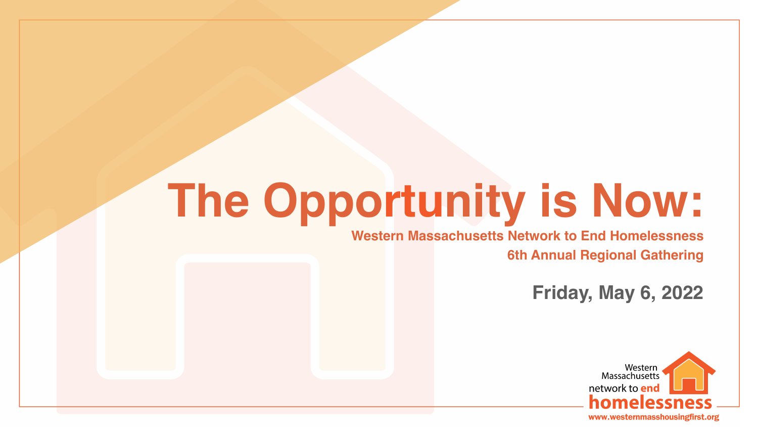# **The Opportunity is Now:**

### **Western Massachusetts Network to End Homelessness 6th Annual Regional Gathering**

## **Friday, May 6, 2022**



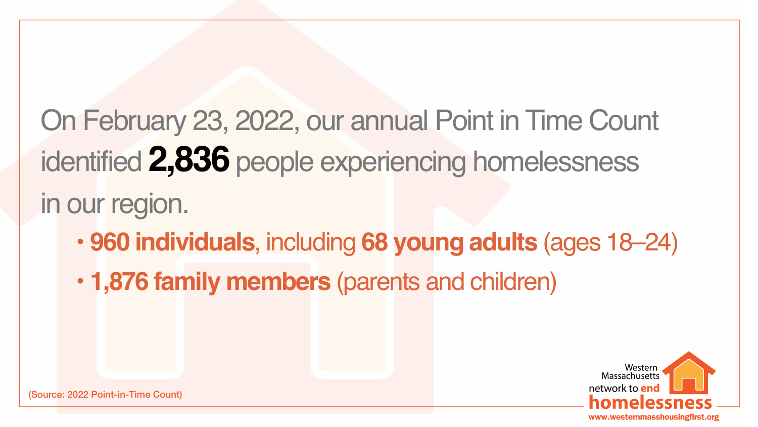# On February 23, 2022, our annual Point in Time Count identified **2,836** people experiencing homelessness in our region. • **1,876 family members** (parents and children)

• **960 individuals**, including **68 young adults** (ages 18–24)





(Source: 2022 Point-in-Time Count)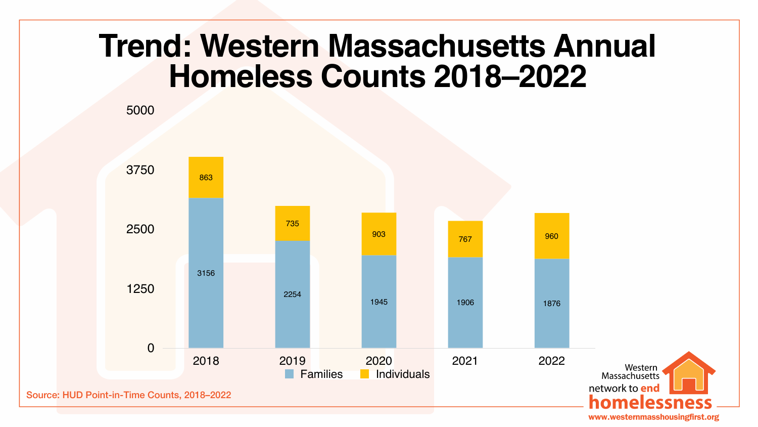

# **Homeless Counts 2018–2022**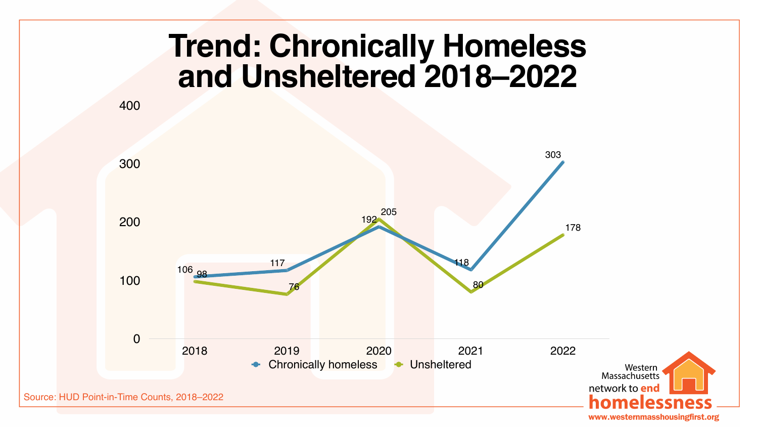Source: HUD Point-in-Time Counts, 2018–2022



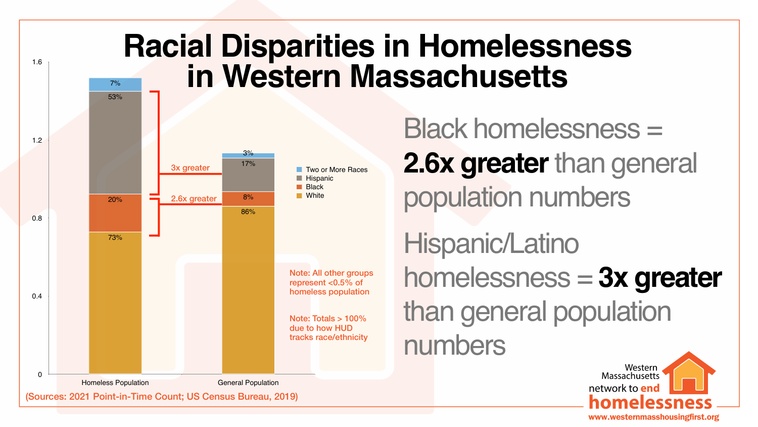Black homelessness = **2.6x greater** than general population numbers

Hispanic/Latino homelessness = **3x greater** than general population numbers







## **Racial Disparities in Homelessness in Western Massachusetts**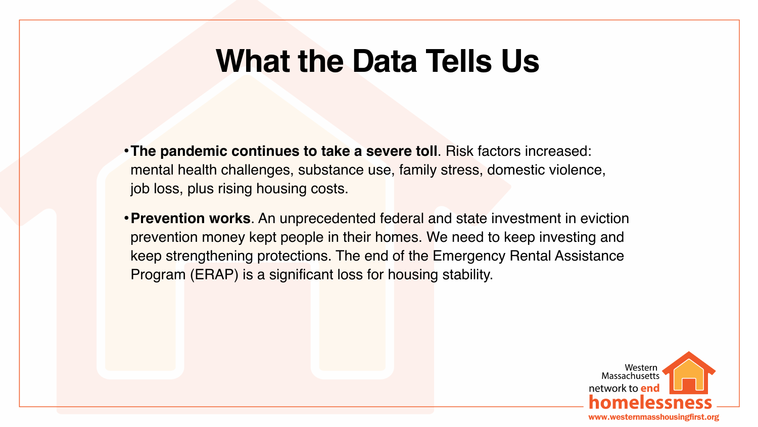**•The pandemic continues to take a severe toll**. Risk factors increased: mental health challenges, substance use, family stress, domestic violence,

**•Prevention works**. An unprecedented federal and state investment in eviction prevention money kept people in their homes. We need to keep investing and keep strengthening protections. The end of the Emergency Rental Assistance





- job loss, plus rising housing costs.
- Program (ERAP) is a significant loss for housing stability.

## **What the Data Tells Us**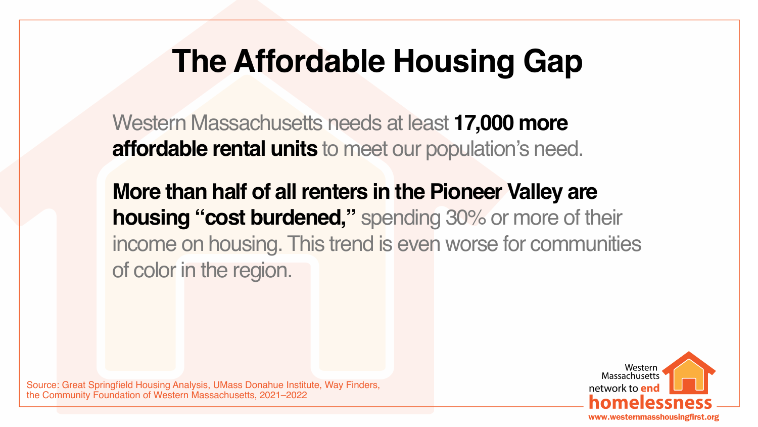Western Massachusetts needs at least **17,000 more affordable rental units** to meet our population's need.

- 
- **More than half of all renters in the Pioneer Valley are housing "cost burdened,"** spending 30% or more of their income on housing. This trend is even worse for communities





of color in the region.

# **The Affordable Housing Gap**

Source: Great Springfield Housing Analysis, UMass Donahue Institute, Way Finders, the Community Foundation of Western Massachusetts, 2021–2022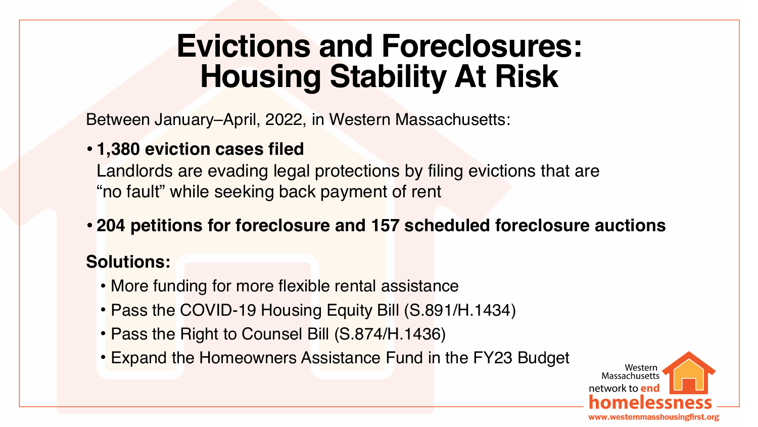Between January–April, 2022, in Western Massachusetts:

- **• 1,380 eviction cases filed** Landlords are evading legal protections by filing evictions that are "no fault" while seeking back payment of rent
- **• 204 petitions for foreclosure and 157 scheduled foreclosure auctions**

- 
- More funding for more flexible rental assistance • Pass the COVID-19 Housing Equity Bill (S.891/H.1434) • Pass the Right to Counsel Bill (S.874/H.1436)
- 
- Expand the Homeowners Assistance Fund in the FY23 Budget





### **Solutions:**

## **Evictions and Foreclosures: Housing Stability At Risk**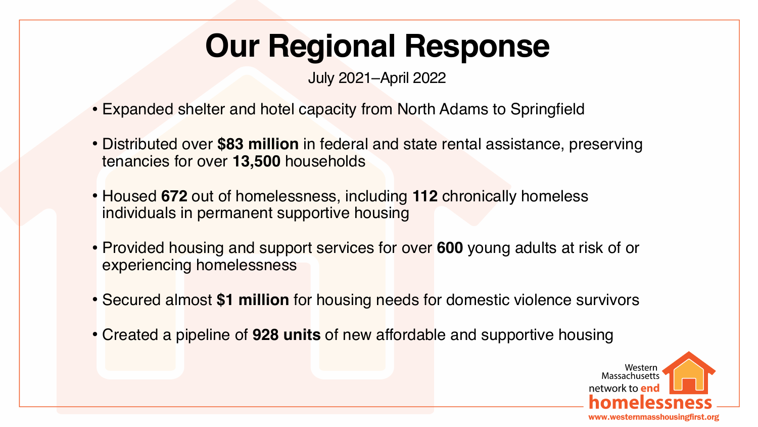- Expanded shelter and hotel capacity from North Adams to Springfield
- Distributed over **\$83 million** in federal and state rental assistance, preserving tenancies for over **13,500** households
- Housed **672** out of homelessness, including **112** chronically homeless individuals in permanent supportive housing
- Provided housing and support services for over **600** young adults at risk of or experiencing homelessness
- Secured almost **\$1 million** for housing needs for domestic violence survivors
- Created a pipeline of **928 units** of new affordable and supportive housing





## **Our Regional Response**

July 2021–April 2022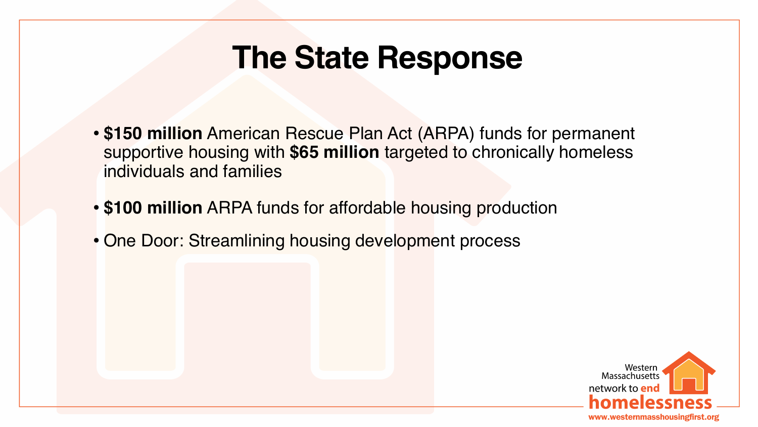• **\$150 million** American Rescue Plan Act (ARPA) funds for permanent supportive housing with **\$65 million** targeted to chronically homeless





- individuals and families
- **\$100 million** ARPA funds for affordable housing production
- One Door: Streamlining housing development process

## **The State Response**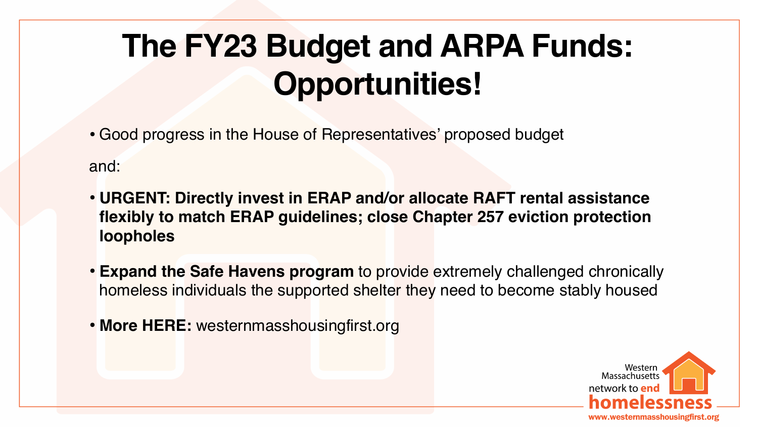### **• URGENT: Directly invest in ERAP and/or allocate RAFT rental assistance flexibly to match ERAP guidelines; close Chapter 257 eviction protection**

- Good progress in the House of Representatives' proposed budget and:
- **loopholes**
- 
- **• More HERE:** westernmasshousingfirst.org

**• Expand the Safe Havens program** to provide extremely challenged chronically homeless individuals the supported shelter they need to become stably housed





## **The FY23 Budget and ARPA Funds: Opportunities!**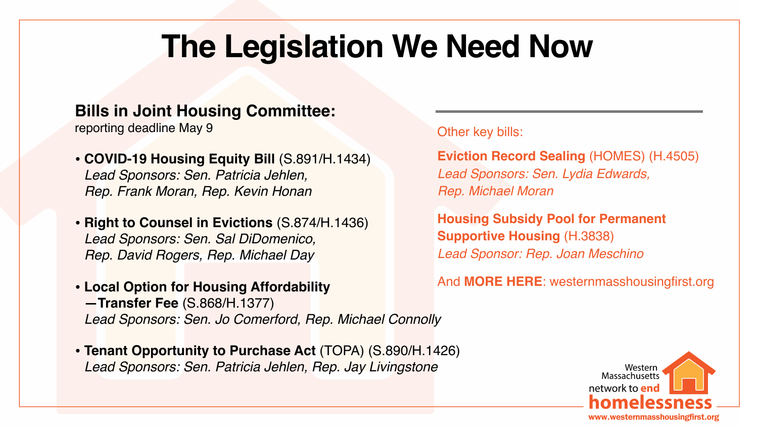**Bills in Joint Housing Committee:**  reporting deadline May 9

- **• COVID-19 Housing Equity Bill** (S.891/H.1434) *Lead Sponsors: Sen. Patricia Jehlen, Rep. Frank Moran, Rep. Kevin Honan*
- **• Right to Counsel in Evictions** (S.874/H.1436) *Lead Sponsors: Sen. Sal DiDomenico, Rep. David Rogers, Rep. Michael Day*
- **• Local Option for Housing Affordability —Transfer Fee** (S.868/H.1377) *Lead Sponsors: Sen. Jo Comerford, Rep. Michael Connolly*
- **• Tenant Opportunity to Purchase Act** (TOPA) (S.890/H.1426) *Lead Sponsors: Sen. Patricia Jehlen, Rep. Jay Livingstone*

Other key bills:

**Eviction Record Sealing** (HOMES) (H.4505) *Lead Sponsors: Sen. Lydia Edwards, Rep. Michael Moran*

> **Housing Subsidy Pool for Permanent Supportive Housing** (H.3838) *Lead Sponsor: Rep. Joan Meschino*

And **MORE HERE**: westernmasshousingfirst.org





## **The Legislation We Need Now**